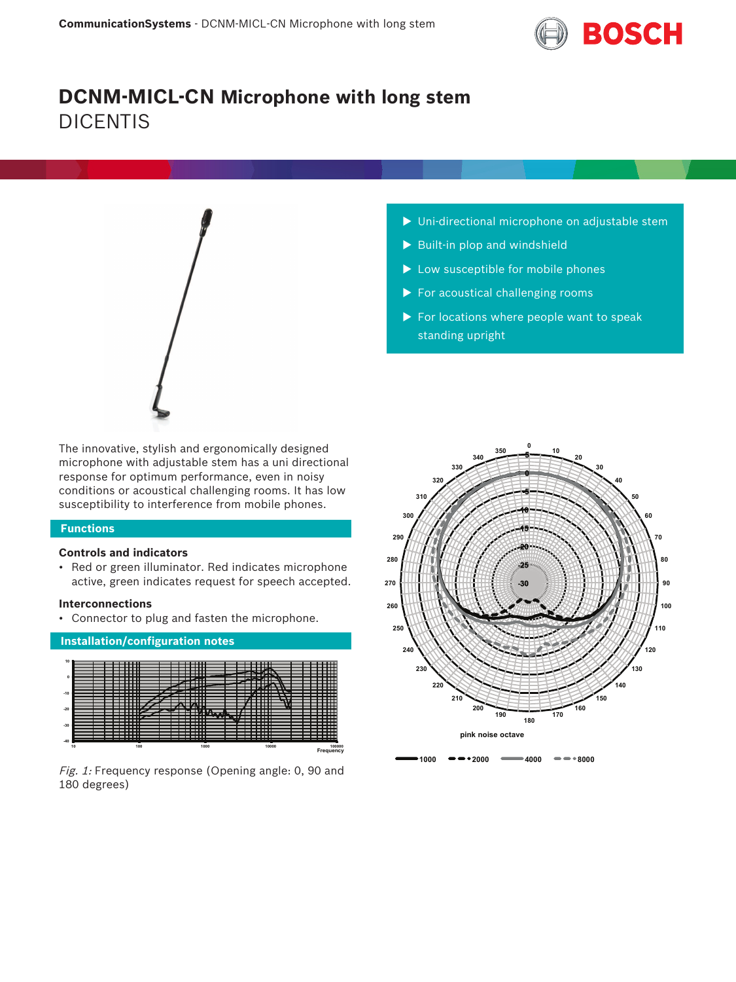

# **DCNM-MICL-CN Microphone with long stem** DICENTIS



The innovative, stylish and ergonomically designed microphone with adjustable stem has a uni directional response for optimum performance, even in noisy conditions or acoustical challenging rooms. It has low susceptibility to interference from mobile phones.

# **Functions**

# **Controls and indicators**

• Red or green illuminator. Red indicates microphone active, green indicates request for speech accepted.

# **Interconnections**

• Connector to plug and fasten the microphone.



Fig. 1: Frequency response (Opening angle: 0, 90 and 180 degrees)

- $\triangleright$  Uni-directional microphone on adjustable stem
- $\blacktriangleright$  Built-in plop and windshield
- $\blacktriangleright$  Low susceptible for mobile phones
- $\blacktriangleright$  For acoustical challenging rooms
- $\triangleright$  For locations where people want to speak standing upright